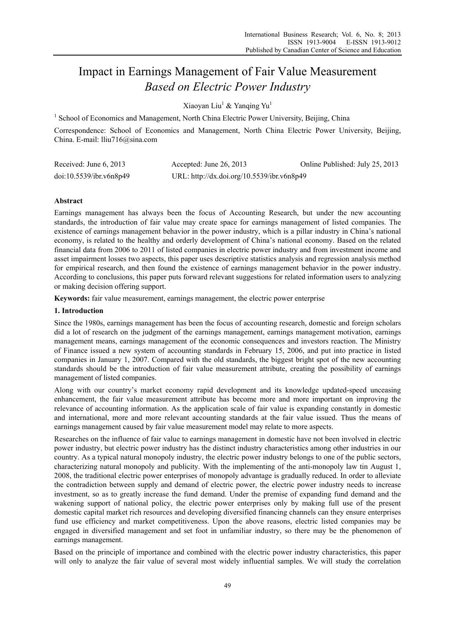# Impact in Earnings Management of Fair Value Measurement *Based on Electric Power Industry*

Xiaoyan Liu<sup>1</sup> & Yanqing Yu<sup>1</sup>

<sup>1</sup> School of Economics and Management, North China Electric Power University, Beijing, China

Correspondence: School of Economics and Management, North China Electric Power University, Beijing, China. E-mail: lliu716@sina.com

| Received: June 6, 2013  | Accepted: June 26, 2013                    | Online Published: July 25, 2013 |
|-------------------------|--------------------------------------------|---------------------------------|
| doi:10.5539/ibr.v6n8p49 | URL: http://dx.doi.org/10.5539/ibr.v6n8p49 |                                 |

# **Abstract**

Earnings management has always been the focus of Accounting Research, but under the new accounting standards, the introduction of fair value may create space for earnings management of listed companies. The existence of earnings management behavior in the power industry, which is a pillar industry in China's national economy, is related to the healthy and orderly development of China's national economy. Based on the related financial data from 2006 to 2011 of listed companies in electric power industry and from investment income and asset impairment losses two aspects, this paper uses descriptive statistics analysis and regression analysis method for empirical research, and then found the existence of earnings management behavior in the power industry. According to conclusions, this paper puts forward relevant suggestions for related information users to analyzing or making decision offering support.

**Keywords:** fair value measurement, earnings management, the electric power enterprise

# **1. Introduction**

Since the 1980s, earnings management has been the focus of accounting research, domestic and foreign scholars did a lot of research on the judgment of the earnings management, earnings management motivation, earnings management means, earnings management of the economic consequences and investors reaction. The Ministry of Finance issued a new system of accounting standards in February 15, 2006, and put into practice in listed companies in January 1, 2007. Compared with the old standards, the biggest bright spot of the new accounting standards should be the introduction of fair value measurement attribute, creating the possibility of earnings management of listed companies.

Along with our country's market economy rapid development and its knowledge updated-speed unceasing enhancement, the fair value measurement attribute has become more and more important on improving the relevance of accounting information. As the application scale of fair value is expanding constantly in domestic and international, more and more relevant accounting standards at the fair value issued. Thus the means of earnings management caused by fair value measurement model may relate to more aspects.

Researches on the influence of fair value to earnings management in domestic have not been involved in electric power industry, but electric power industry has the distinct industry characteristics among other industries in our country. As a typical natural monopoly industry, the electric power industry belongs to one of the public sectors, characterizing natural monopoly and publicity. With the implementing of the anti-monopoly law tin August 1, 2008, the traditional electric power enterprises of monopoly advantage is gradually reduced. In order to alleviate the contradiction between supply and demand of electric power, the electric power industry needs to increase investment, so as to greatly increase the fund demand. Under the premise of expanding fund demand and the wakening support of national policy, the electric power enterprises only by making full use of the present domestic capital market rich resources and developing diversified financing channels can they ensure enterprises fund use efficiency and market competitiveness. Upon the above reasons, electric listed companies may be engaged in diversified management and set foot in unfamiliar industry, so there may be the phenomenon of earnings management.

Based on the principle of importance and combined with the electric power industry characteristics, this paper will only to analyze the fair value of several most widely influential samples. We will study the correlation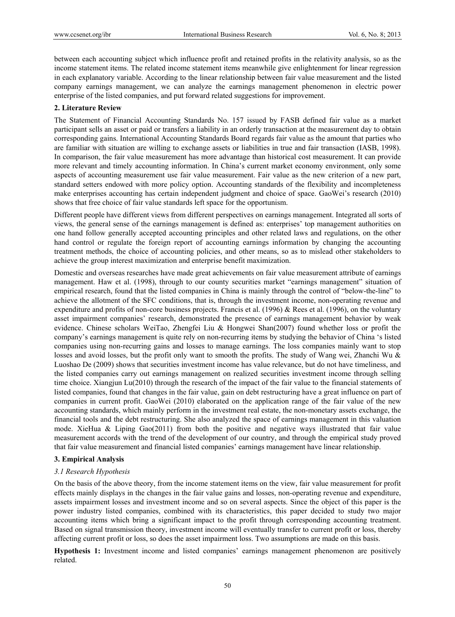between each accounting subject which influence profit and retained profits in the relativity analysis, so as the income statement items. The related income statement items meanwhile give enlightenment for linear regression in each explanatory variable. According to the linear relationship between fair value measurement and the listed company earnings management, we can analyze the earnings management phenomenon in electric power enterprise of the listed companies, and put forward related suggestions for improvement.

## **2. Literature Review**

The Statement of Financial Accounting Standards No. 157 issued by FASB defined fair value as a market participant sells an asset or paid or transfers a liability in an orderly transaction at the measurement day to obtain corresponding gains. International Accounting Standards Board regards fair value as the amount that parties who are familiar with situation are willing to exchange assets or liabilities in true and fair transaction (IASB, 1998). In comparison, the fair value measurement has more advantage than historical cost measurement. It can provide more relevant and timely accounting information. In China's current market economy environment, only some aspects of accounting measurement use fair value measurement. Fair value as the new criterion of a new part, standard setters endowed with more policy option. Accounting standards of the flexibility and incompleteness make enterprises accounting has certain independent judgment and choice of space. GaoWei's research (2010) shows that free choice of fair value standards left space for the opportunism.

Different people have different views from different perspectives on earnings management. Integrated all sorts of views, the general sense of the earnings management is defined as: enterprises' top management authorities on one hand follow generally accepted accounting principles and other related laws and regulations, on the other hand control or regulate the foreign report of accounting earnings information by changing the accounting treatment methods, the choice of accounting policies, and other means, so as to mislead other stakeholders to achieve the group interest maximization and enterprise benefit maximization.

Domestic and overseas researches have made great achievements on fair value measurement attribute of earnings management. Haw et al. (1998), through to our county securities market "earnings management" situation of empirical research, found that the listed companies in China is mainly through the control of "below-the-line" to achieve the allotment of the SFC conditions, that is, through the investment income, non-operating revenue and expenditure and profits of non-core business projects. Francis et al. (1996) & Rees et al. (1996), on the voluntary asset impairment companies' research, demonstrated the presence of earnings management behavior by weak evidence. Chinese scholars WeiTao, Zhengfei Liu & Hongwei Shan(2007) found whether loss or profit the company's earnings management is quite rely on non-recurring items by studying the behavior of China 's listed companies using non-recurring gains and losses to manage earnings. The loss companies mainly want to stop losses and avoid losses, but the profit only want to smooth the profits. The study of Wang wei, Zhanchi Wu & Luoshao De (2009) shows that securities investment income has value relevance, but do not have timeliness, and the listed companies carry out earnings management on realized securities investment income through selling time choice. Xiangjun Lu(2010) through the research of the impact of the fair value to the financial statements of listed companies, found that changes in the fair value, gain on debt restructuring have a great influence on part of companies in current profit. GaoWei (2010) elaborated on the application range of the fair value of the new accounting standards, which mainly perform in the investment real estate, the non-monetary assets exchange, the financial tools and the debt restructuring. She also analyzed the space of earnings management in this valuation mode. XieHua & Liping Gao(2011) from both the positive and negative ways illustrated that fair value measurement accords with the trend of the development of our country, and through the empirical study proved that fair value measurement and financial listed companies' earnings management have linear relationship.

## **3. Empirical Analysis**

## *3.1 Research Hypothesis*

On the basis of the above theory, from the income statement items on the view, fair value measurement for profit effects mainly displays in the changes in the fair value gains and losses, non-operating revenue and expenditure, assets impairment losses and investment income and so on several aspects. Since the object of this paper is the power industry listed companies, combined with its characteristics, this paper decided to study two major accounting items which bring a significant impact to the profit through corresponding accounting treatment. Based on signal transmission theory, investment income will eventually transfer to current profit or loss, thereby affecting current profit or loss, so does the asset impairment loss. Two assumptions are made on this basis.

**Hypothesis 1:** Investment income and listed companies' earnings management phenomenon are positively related.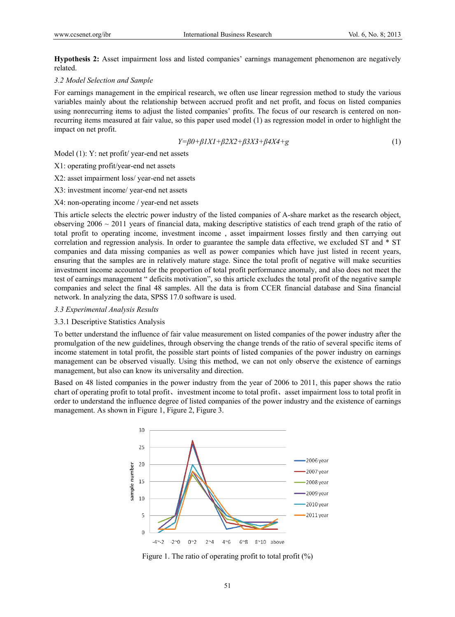Hypothesis 2: Asset impairment loss and listed companies' earnings management phenomenon are negatively related

#### 3.2 Model Selection and Sample

For earnings management in the empirical research, we often use linear regression method to study the various variables mainly about the relationship between accrued profit and net profit, and focus on listed companies using nonrecurring items to adjust the listed companies' profits. The focus of our research is centered on nonrecurring items measured at fair value, so this paper used model (1) as regression model in order to highlight the impact on net profit.

$$
Y = \beta 0 + \beta I X I + \beta 2X 2 + \beta 3X 3 + \beta 4X 4 + g \tag{1}
$$

Model  $(1)$ : Y: net profit/ year-end net assets

- X1: operating profit/year-end net assets
- X2: asset impairment loss/year-end net assets
- X3: investment income/ year-end net assets
- X4: non-operating income / year-end net assets

This article selects the electric power industry of the listed companies of A-share market as the research object, observing  $2006 \sim 2011$  years of financial data, making descriptive statistics of each trend graph of the ratio of total profit to operating income, investment income, asset impairment losses firstly and then carrying out correlation and regression analysis. In order to guarantee the sample data effective, we excluded ST and \* ST companies and data missing companies as well as power companies which have just listed in recent years, ensuring that the samples are in relatively mature stage. Since the total profit of negative will make securities investment income accounted for the proportion of total profit performance anomaly, and also does not meet the test of earnings management "deficits motivation", so this article excludes the total profit of the negative sample companies and select the final 48 samples. All the data is from CCER financial database and Sina financial network. In analyzing the data, SPSS 17.0 software is used.

3.3 Experimental Analysis Results

#### 3.3.1 Descriptive Statistics Analysis

To better understand the influence of fair value measurement on listed companies of the power industry after the promulgation of the new guidelines, through observing the change trends of the ratio of several specific items of income statement in total profit, the possible start points of listed companies of the power industry on earnings management can be observed visually. Using this method, we can not only observe the existence of earnings management, but also can know its universality and direction.

Based on 48 listed companies in the power industry from the year of 2006 to 2011, this paper shows the ratio chart of operating profit to total profit, investment income to total profit, asset impairment loss to total profit in order to understand the influence degree of listed companies of the power industry and the existence of earnings management. As shown in Figure 1, Figure 2, Figure 3.



Figure 1. The ratio of operating profit to total profit  $(\%)$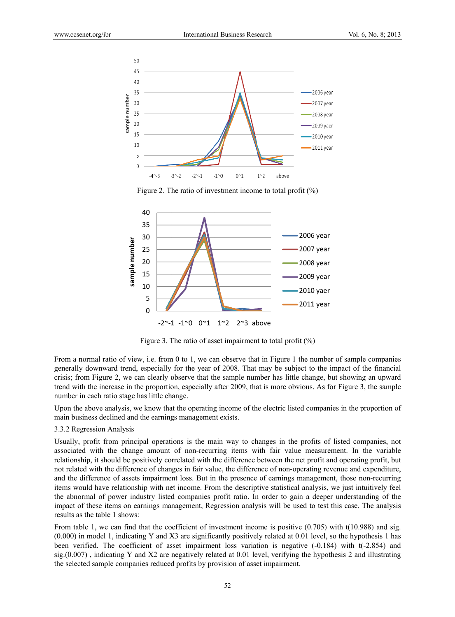

Figure 2. The ratio of investment income to total profit  $(\%)$ 



Figure 3. The ratio of asset impairment to total profit  $(\%)$ 

From a normal ratio of view, i.e. from 0 to 1, we can observe that in Figure 1 the number of sample companies generally downward trend, especially for the year of 2008. That may be subject to the impact of the financial crisis; from Figure 2, we can clearly observe that the sample number has little change, but showing an upward trend with the increase in the proportion, especially after 2009, that is more obvious. As for Figure 3, the sample number in each ratio stage has little change.

Upon the above analysis, we know that the operating income of the electric listed companies in the proportion of main business declined and the earnings management exists.

### 3.3.2 Regression Analysis

Usually, profit from principal operations is the main way to changes in the profits of listed companies, not associated with the change amount of non-recurring items with fair value measurement. In the variable relationship, it should be positively correlated with the difference between the net profit and operating profit, but not related with the difference of changes in fair value, the difference of non-operating revenue and expenditure, and the difference of assets impairment loss. But in the presence of earnings management, those non-recurring items would have relationship with net income. From the descriptive statistical analysis, we just intuitively feel the abnormal of power industry listed companies profit ratio. In order to gain a deeper understanding of the impact of these items on earnings management, Regression analysis will be used to test this case. The analysis results as the table 1 shows:

From table 1, we can find that the coefficient of investment income is positive  $(0.705)$  with  $t(10.988)$  and sig.  $(0.000)$  in model 1, indicating Y and X3 are significantly positively related at 0.01 level, so the hypothesis 1 has been verified. The coefficient of asset impairment loss variation is negative (-0.184) with t(-2.854) and  $sig(0.007)$ , indicating Y and X2 are negatively related at 0.01 level, verifying the hypothesis 2 and illustrating the selected sample companies reduced profits by provision of asset impairment.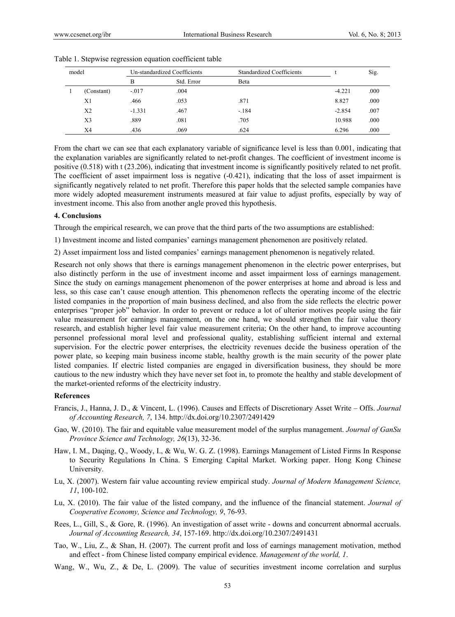| model |            | Un-standardized Coefficients |            | <b>Standardized Coefficients</b> |          | Sig. |
|-------|------------|------------------------------|------------|----------------------------------|----------|------|
|       |            | B                            | Std. Error | Beta                             |          |      |
|       | (Constant) | $-0.017$                     | .004       |                                  | $-4.221$ | .000 |
|       | X1         | .466                         | .053       | .871                             | 8.827    | .000 |
|       | X2         | $-1.331$                     | .467       | $-184$                           | $-2.854$ | .007 |
|       | X3         | .889                         | .081       | .705                             | 10.988   | .000 |
|       | X4         | .436                         | .069       | .624                             | 6.296    | .000 |

|  |  | Table 1. Stepwise regression equation coefficient table |
|--|--|---------------------------------------------------------|

From the chart we can see that each explanatory variable of significance level is less than 0.001, indicating that the explanation variables are significantly related to net-profit changes. The coefficient of investment income is positive (0.518) with t (23.206), indicating that investment income is significantly positively related to net profit. The coefficient of asset impairment loss is negative (-0.421), indicating that the loss of asset impairment is significantly negatively related to net profit. Therefore this paper holds that the selected sample companies have more widely adopted measurement instruments measured at fair value to adjust profits, especially by way of investment income. This also from another angle proved this hypothesis.

#### **4. Conclusions**

Through the empirical research, we can prove that the third parts of the two assumptions are established:

1) Investment income and listed companies' earnings management phenomenon are positively related.

2) Asset impairment loss and listed companies' earnings management phenomenon is negatively related.

Research not only shows that there is earnings management phenomenon in the electric power enterprises, but also distinctly perform in the use of investment income and asset impairment loss of earnings management. Since the study on earnings management phenomenon of the power enterprises at home and abroad is less and less, so this case can't cause enough attention. This phenomenon reflects the operating income of the electric listed companies in the proportion of main business declined, and also from the side reflects the electric power enterprises "proper job" behavior. In order to prevent or reduce a lot of ulterior motives people using the fair value measurement for earnings management, on the one hand, we should strengthen the fair value theory research, and establish higher level fair value measurement criteria; On the other hand, to improve accounting personnel professional moral level and professional quality, establishing sufficient internal and external supervision. For the electric power enterprises, the electricity revenues decide the business operation of the power plate, so keeping main business income stable, healthy growth is the main security of the power plate listed companies. If electric listed companies are engaged in diversification business, they should be more cautious to the new industry which they have never set foot in, to promote the healthy and stable development of the market-oriented reforms of the electricity industry.

#### **References**

- Francis, J., Hanna, J. D., & Vincent, L. (1996). Causes and Effects of Discretionary Asset Write Offs. *Journal of Accounting Research, 7*, 134. http://dx.doi.org/10.2307/2491429
- Gao, W. (2010). The fair and equitable value measurement model of the surplus management. *Journal of GanSu Province Science and Technology, 26*(13), 32-36.
- Haw, I. M., Daqing, Q., Woody, I., & Wu, W. G. Z. (1998). Earnings Management of Listed Firms In Response to Security Regulations In China. S Emerging Capital Market. Working paper. Hong Kong Chinese University.
- Lu, X. (2007). Western fair value accounting review empirical study. *Journal of Modern Management Science, 11*, 100-102.
- Lu, X. (2010). The fair value of the listed company, and the influence of the financial statement. *Journal of Cooperative Economy, Science and Technology, 9*, 76-93.
- Rees, L., Gill, S., & Gore, R. (1996). An investigation of asset write downs and concurrent abnormal accruals. *Journal of Accounting Research, 34*, 157-169. http://dx.doi.org/10.2307/2491431
- Tao, W., Liu, Z., & Shan, H. (2007). The current profit and loss of earnings management motivation, method and effect - from Chinese listed company empirical evidence. *Management of the world, 1*.
- Wang, W., Wu, Z., & De, L. (2009). The value of securities investment income correlation and surplus